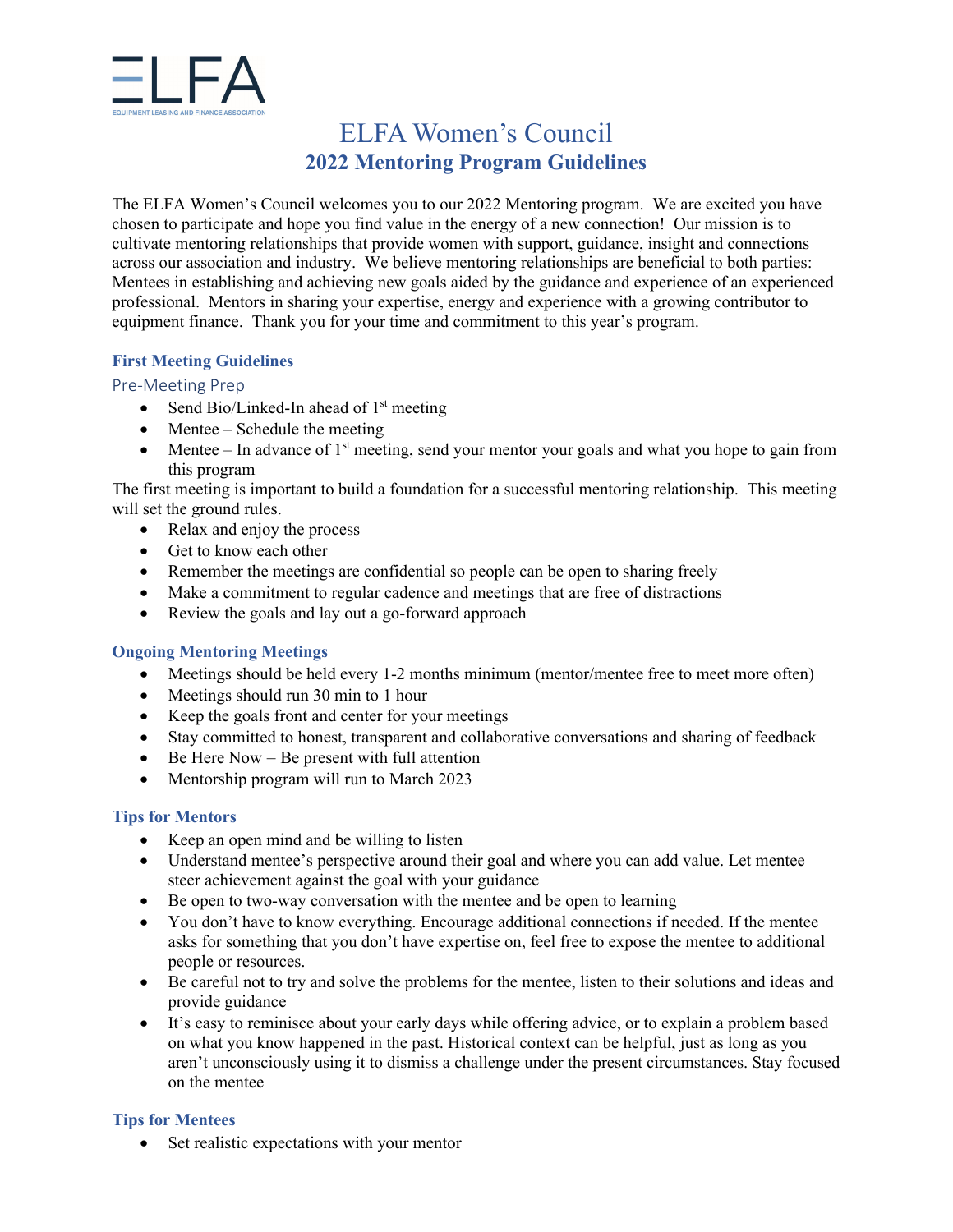

# ELFA Women's Council **2022 Mentoring Program Guidelines**

The ELFA Women's Council welcomes you to our 2022 Mentoring program. We are excited you have chosen to participate and hope you find value in the energy of a new connection! Our mission is to cultivate mentoring relationships that provide women with support, guidance, insight and connections across our association and industry. We believe mentoring relationships are beneficial to both parties: Mentees in establishing and achieving new goals aided by the guidance and experience of an experienced professional. Mentors in sharing your expertise, energy and experience with a growing contributor to equipment finance. Thank you for your time and commitment to this year's program.

## **First Meeting Guidelines**

#### Pre‐Meeting Prep

- Send Bio/Linked-In ahead of  $1<sup>st</sup>$  meeting
- $\bullet$  Mentee Schedule the meeting
- $\bullet$  Mentee In advance of 1<sup>st</sup> meeting, send your mentor your goals and what you hope to gain from this program

The first meeting is important to build a foundation for a successful mentoring relationship. This meeting will set the ground rules.

- Relax and enjoy the process
- Get to know each other
- Remember the meetings are confidential so people can be open to sharing freely
- Make a commitment to regular cadence and meetings that are free of distractions
- Review the goals and lay out a go-forward approach

#### **Ongoing Mentoring Meetings**

- Meetings should be held every 1-2 months minimum (mentor/mentee free to meet more often)
- Meetings should run 30 min to 1 hour
- Keep the goals front and center for your meetings
- Stay committed to honest, transparent and collaborative conversations and sharing of feedback
- $\bullet$  Be Here Now = Be present with full attention
- Mentorship program will run to March 2023

#### **Tips for Mentors**

- Keep an open mind and be willing to listen
- Understand mentee's perspective around their goal and where you can add value. Let mentee steer achievement against the goal with your guidance
- Be open to two-way conversation with the mentee and be open to learning
- You don't have to know everything. Encourage additional connections if needed. If the mentee asks for something that you don't have expertise on, feel free to expose the mentee to additional people or resources.
- Be careful not to try and solve the problems for the mentee, listen to their solutions and ideas and provide guidance
- It's easy to reminisce about your early days while offering advice, or to explain a problem based on what you know happened in the past. Historical context can be helpful, just as long as you aren't unconsciously using it to dismiss a challenge under the present circumstances. Stay focused on the mentee

#### **Tips for Mentees**

• Set realistic expectations with your mentor